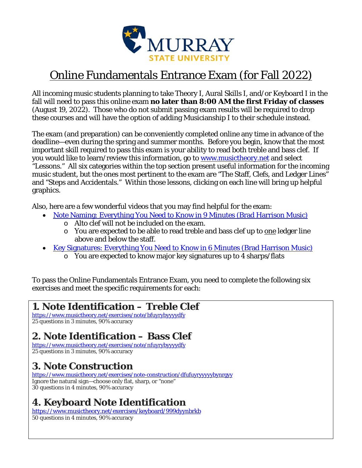

# Online Fundamentals Entrance Exam (for Fall 2022)

All incoming music students planning to take Theory I, Aural Skills I, and/or Keyboard I in the fall will need to pass this online exam **no later than 8:00 AM the first Friday of classes** (August 19, 2022). Those who do not submit passing exam results will be required to drop these courses and will have the option of adding Musicianship I to their schedule instead.

The exam (and preparation) can be conveniently completed online any time in advance of the deadline—even during the spring and summer months. Before you begin, know that the most important skill required to pass this exam is your ability to read both treble and bass clef. If you would like to learn/review this information, go to www.musictheory.net and select "Lessons." All six categories within the top section present useful information for the incoming music student, but the ones most pertinent to the exam are "The Staff, Clefs, and Ledger Lines" and "Steps and Accidentals." Within those lessons, clicking on each line will bring up helpful graphics.

Also, here are a few wonderful videos that you may find helpful for the exam:

- Note Naming: Everything You Need to Know in 9 Minutes (Brad Harrison Music)
	- o Alto clef will not be included on the exam.
	- o You are expected to be able to read treble and bass clef up to one ledger line above and below the staff.
- Key Signatures: Everything You Need to Know in 6 Minutes (Brad Harrison Music)
	- o You are expected to know major key signatures up to 4 sharps/flats

To pass the Online Fundamentals Entrance Exam, you need to complete the following six exercises and meet the specific requirements for each:

### **1. Note Identification – Treble Clef**

https://www.musictheory.net/exercises/note/bfuyrybyyyydfy 25 questions in 3 minutes, 90% accuracy

# **2. Note Identification – Bass Clef**

https://www.musictheory.net/exercises/note/nfuyrybyyyydfy 25 questions in 3 minutes, 90% accuracy

# **3. Note Construction**

https://www.musictheory.net/exercises/note-construction/dfufuyryyyyybynrgyy Ignore the natural sign—choose only flat, sharp, or "none" 30 questions in 4 minutes, 90% accuracy

# **4. Keyboard Note Identification**

https://www.musictheory.net/exercises/keyboard/999dyynbrkb 50 questions in 4 minutes, 90% accuracy